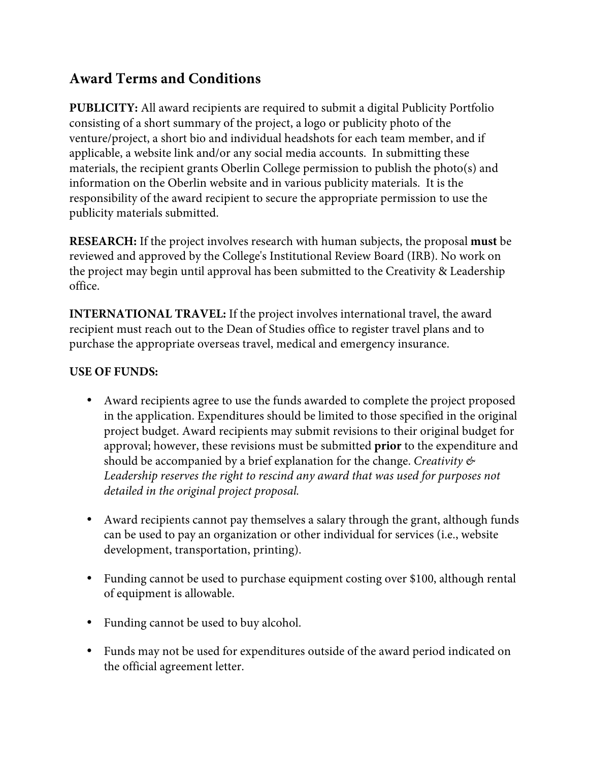## **Award Terms and Conditions**

**PUBLICITY:** All award recipients are required to submit a digital Publicity Portfolio consisting of a short summary of the project, a logo or publicity photo of the venture/project, a short bio and individual headshots for each team member, and if applicable, a website link and/or any social media accounts. In submitting these materials, the recipient grants Oberlin College permission to publish the photo(s) and information on the Oberlin website and in various publicity materials. It is the responsibility of the award recipient to secure the appropriate permission to use the publicity materials submitted.

**RESEARCH:** If the project involves research with human subjects, the proposal **must** be reviewed and approved by the College's Institutional Review Board (IRB). No work on the project may begin until approval has been submitted to the Creativity & Leadership office.

**INTERNATIONAL TRAVEL:** If the project involves international travel, the award recipient must reach out to the Dean of Studies office to register travel plans and to purchase the appropriate overseas travel, medical and emergency insurance.

## **USE OF FUNDS:**

- Award recipients agree to use the funds awarded to complete the project proposed in the application. Expenditures should be limited to those specified in the original project budget. Award recipients may submit revisions to their original budget for approval; however, these revisions must be submitted **prior** to the expenditure and should be accompanied by a brief explanation for the change. *Creativity &*  Leadership reserves the right to rescind any award that was used for purposes not *detailed in the original project proposal.*
- Award recipients cannot pay themselves a salary through the grant, although funds can be used to pay an organization or other individual for services (i.e., website development, transportation, printing).
- Funding cannot be used to purchase equipment costing over \$100, although rental of equipment is allowable.
- Funding cannot be used to buy alcohol.
- Funds may not be used for expenditures outside of the award period indicated on the official agreement letter.